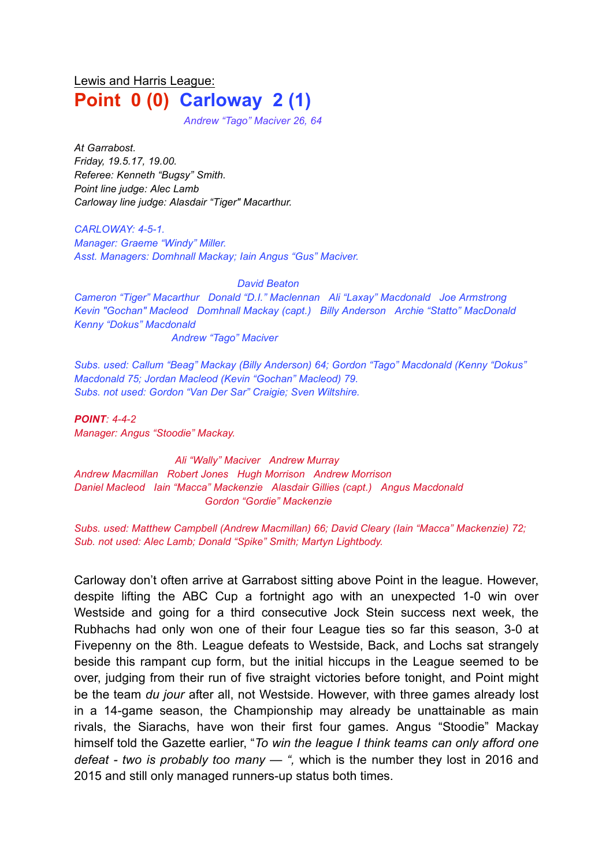# Lewis and Harris League: **Point 0 (0) Carloway 2 (1)**

*Andrew "Tago" Maciver 26, 64*

*At Garrabost. Friday, 19.5.17, 19.00. Referee: Kenneth "Bugsy" Smith. Point line judge: Alec Lamb Carloway line judge: Alasdair "Tiger" Macarthur.*

*CARLOWAY: 4-5-1. Manager: Graeme "Windy" Miller. Asst. Managers: Domhnall Mackay; Iain Angus "Gus" Maciver.*

#### *David Beaton*

*Cameron "Tiger" Macarthur Donald "D.I." Maclennan Ali "Laxay" Macdonald Joe Armstrong Kevin "Gochan" Macleod Domhnall Mackay (capt.) Billy Anderson Archie "Statto" MacDonald Kenny "Dokus" Macdonald Andrew "Tago" Maciver*

*Subs. used: Callum "Beag" Mackay (Billy Anderson) 64; Gordon "Tago" Macdonald (Kenny "Dokus" Macdonald 75; Jordan Macleod (Kevin "Gochan" Macleod) 79. Subs. not used: Gordon "Van Der Sar" Craigie; Sven Wiltshire.*

*POINT: 4-4-2 Manager: Angus "Stoodie" Mackay.*

*Ali "Wally" Maciver Andrew Murray Andrew Macmillan Robert Jones Hugh Morrison Andrew Morrison Daniel Macleod Iain "Macca" Mackenzie Alasdair Gillies (capt.) Angus Macdonald Gordon "Gordie" Mackenzie*

*Subs. used: Matthew Campbell (Andrew Macmillan) 66; David Cleary (Iain "Macca" Mackenzie) 72; Sub. not used: Alec Lamb; Donald "Spike" Smith; Martyn Lightbody.*

Carloway don't often arrive at Garrabost sitting above Point in the league. However, despite lifting the ABC Cup a fortnight ago with an unexpected 1-0 win over Westside and going for a third consecutive Jock Stein success next week, the Rubhachs had only won one of their four League ties so far this season, 3-0 at Fivepenny on the 8th. League defeats to Westside, Back, and Lochs sat strangely beside this rampant cup form, but the initial hiccups in the League seemed to be over, judging from their run of five straight victories before tonight, and Point might be the team *du jour* after all, not Westside. However, with three games already lost in a 14-game season, the Championship may already be unattainable as main rivals, the Siarachs, have won their first four games. Angus "Stoodie" Mackay himself told the Gazette earlier, "*To win the league I think teams can only afford one defeat - two is probably too many — ",* which is the number they lost in 2016 and 2015 and still only managed runners-up status both times.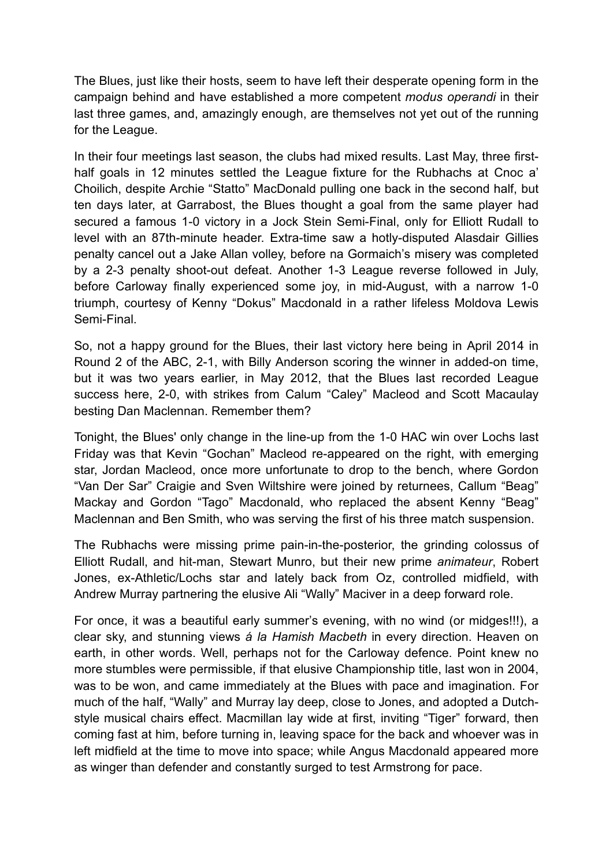The Blues, just like their hosts, seem to have left their desperate opening form in the campaign behind and have established a more competent *modus operandi* in their last three games, and, amazingly enough, are themselves not yet out of the running for the League.

In their four meetings last season, the clubs had mixed results. Last May, three firsthalf goals in 12 minutes settled the League fixture for the Rubhachs at Cnoc a' Choilich, despite Archie "Statto" MacDonald pulling one back in the second half, but ten days later, at Garrabost, the Blues thought a goal from the same player had secured a famous 1-0 victory in a Jock Stein Semi-Final, only for Elliott Rudall to level with an 87th-minute header. Extra-time saw a hotly-disputed Alasdair Gillies penalty cancel out a Jake Allan volley, before na Gormaich's misery was completed by a 2-3 penalty shoot-out defeat. Another 1-3 League reverse followed in July, before Carloway finally experienced some joy, in mid-August, with a narrow 1-0 triumph, courtesy of Kenny "Dokus" Macdonald in a rather lifeless Moldova Lewis Semi-Final.

So, not a happy ground for the Blues, their last victory here being in April 2014 in Round 2 of the ABC, 2-1, with Billy Anderson scoring the winner in added-on time, but it was two years earlier, in May 2012, that the Blues last recorded League success here, 2-0, with strikes from Calum "Caley" Macleod and Scott Macaulay besting Dan Maclennan. Remember them?

Tonight, the Blues' only change in the line-up from the 1-0 HAC win over Lochs last Friday was that Kevin "Gochan" Macleod re-appeared on the right, with emerging star, Jordan Macleod, once more unfortunate to drop to the bench, where Gordon "Van Der Sar" Craigie and Sven Wiltshire were joined by returnees, Callum "Beag" Mackay and Gordon "Tago" Macdonald, who replaced the absent Kenny "Beag" Maclennan and Ben Smith, who was serving the first of his three match suspension.

The Rubhachs were missing prime pain-in-the-posterior, the grinding colossus of Elliott Rudall, and hit-man, Stewart Munro, but their new prime *animateur*, Robert Jones, ex-Athletic/Lochs star and lately back from Oz, controlled midfield, with Andrew Murray partnering the elusive Ali "Wally" Maciver in a deep forward role.

For once, it was a beautiful early summer's evening, with no wind (or midges!!!), a clear sky, and stunning views *á la Hamish Macbeth* in every direction. Heaven on earth, in other words. Well, perhaps not for the Carloway defence. Point knew no more stumbles were permissible, if that elusive Championship title, last won in 2004, was to be won, and came immediately at the Blues with pace and imagination. For much of the half, "Wally" and Murray lay deep, close to Jones, and adopted a Dutchstyle musical chairs effect. Macmillan lay wide at first, inviting "Tiger" forward, then coming fast at him, before turning in, leaving space for the back and whoever was in left midfield at the time to move into space; while Angus Macdonald appeared more as winger than defender and constantly surged to test Armstrong for pace.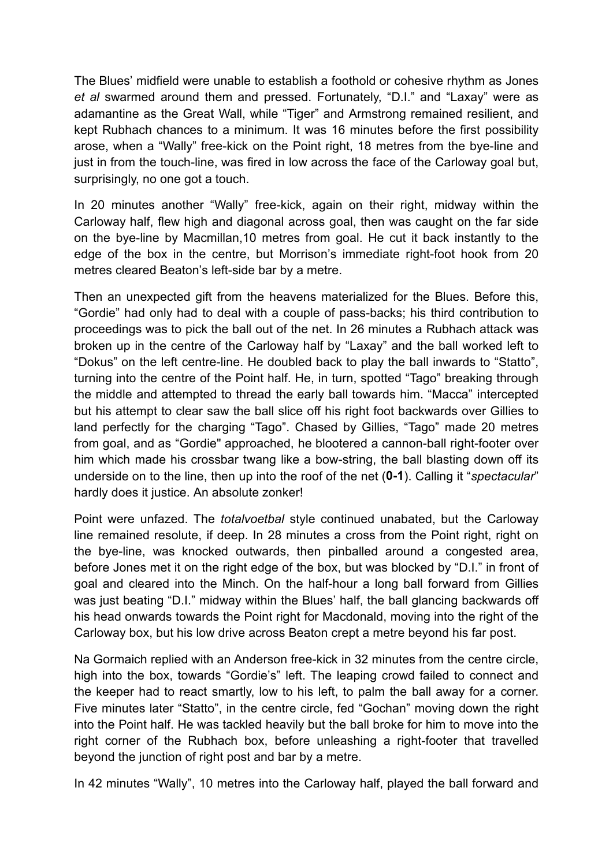The Blues' midfield were unable to establish a foothold or cohesive rhythm as Jones *et al* swarmed around them and pressed. Fortunately, "D.I." and "Laxay" were as adamantine as the Great Wall, while "Tiger" and Armstrong remained resilient, and kept Rubhach chances to a minimum. It was 16 minutes before the first possibility arose, when a "Wally" free-kick on the Point right, 18 metres from the bye-line and just in from the touch-line, was fired in low across the face of the Carloway goal but, surprisingly, no one got a touch.

In 20 minutes another "Wally" free-kick, again on their right, midway within the Carloway half, flew high and diagonal across goal, then was caught on the far side on the bye-line by Macmillan,10 metres from goal. He cut it back instantly to the edge of the box in the centre, but Morrison's immediate right-foot hook from 20 metres cleared Beaton's left-side bar by a metre.

Then an unexpected gift from the heavens materialized for the Blues. Before this, "Gordie" had only had to deal with a couple of pass-backs; his third contribution to proceedings was to pick the ball out of the net. In 26 minutes a Rubhach attack was broken up in the centre of the Carloway half by "Laxay" and the ball worked left to "Dokus" on the left centre-line. He doubled back to play the ball inwards to "Statto", turning into the centre of the Point half. He, in turn, spotted "Tago" breaking through the middle and attempted to thread the early ball towards him. "Macca" intercepted but his attempt to clear saw the ball slice off his right foot backwards over Gillies to land perfectly for the charging "Tago". Chased by Gillies, "Tago" made 20 metres from goal, and as "Gordie" approached, he blootered a cannon-ball right-footer over him which made his crossbar twang like a bow-string, the ball blasting down off its underside on to the line, then up into the roof of the net (**0-1**). Calling it "*spectacular*" hardly does it justice. An absolute zonker!

Point were unfazed. The *totalvoetbal* style continued unabated, but the Carloway line remained resolute, if deep. In 28 minutes a cross from the Point right, right on the bye-line, was knocked outwards, then pinballed around a congested area, before Jones met it on the right edge of the box, but was blocked by "D.I." in front of goal and cleared into the Minch. On the half-hour a long ball forward from Gillies was just beating "D.I." midway within the Blues' half, the ball glancing backwards off his head onwards towards the Point right for Macdonald, moving into the right of the Carloway box, but his low drive across Beaton crept a metre beyond his far post.

Na Gormaich replied with an Anderson free-kick in 32 minutes from the centre circle, high into the box, towards "Gordie's" left. The leaping crowd failed to connect and the keeper had to react smartly, low to his left, to palm the ball away for a corner. Five minutes later "Statto", in the centre circle, fed "Gochan" moving down the right into the Point half. He was tackled heavily but the ball broke for him to move into the right corner of the Rubhach box, before unleashing a right-footer that travelled beyond the junction of right post and bar by a metre.

In 42 minutes "Wally", 10 metres into the Carloway half, played the ball forward and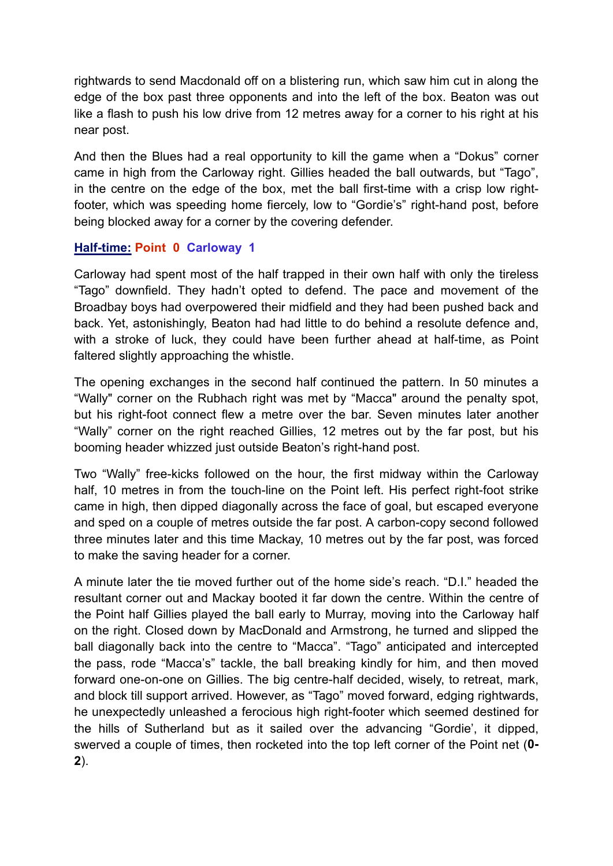rightwards to send Macdonald off on a blistering run, which saw him cut in along the edge of the box past three opponents and into the left of the box. Beaton was out like a flash to push his low drive from 12 metres away for a corner to his right at his near post.

And then the Blues had a real opportunity to kill the game when a "Dokus" corner came in high from the Carloway right. Gillies headed the ball outwards, but "Tago", in the centre on the edge of the box, met the ball first-time with a crisp low rightfooter, which was speeding home fiercely, low to "Gordie's" right-hand post, before being blocked away for a corner by the covering defender.

# **Half-time: Point 0 Carloway 1**

Carloway had spent most of the half trapped in their own half with only the tireless "Tago" downfield. They hadn't opted to defend. The pace and movement of the Broadbay boys had overpowered their midfield and they had been pushed back and back. Yet, astonishingly, Beaton had had little to do behind a resolute defence and, with a stroke of luck, they could have been further ahead at half-time, as Point faltered slightly approaching the whistle.

The opening exchanges in the second half continued the pattern. In 50 minutes a "Wally" corner on the Rubhach right was met by "Macca" around the penalty spot, but his right-foot connect flew a metre over the bar. Seven minutes later another "Wally" corner on the right reached Gillies, 12 metres out by the far post, but his booming header whizzed just outside Beaton's right-hand post.

Two "Wally" free-kicks followed on the hour, the first midway within the Carloway half, 10 metres in from the touch-line on the Point left. His perfect right-foot strike came in high, then dipped diagonally across the face of goal, but escaped everyone and sped on a couple of metres outside the far post. A carbon-copy second followed three minutes later and this time Mackay, 10 metres out by the far post, was forced to make the saving header for a corner.

A minute later the tie moved further out of the home side's reach. "D.I." headed the resultant corner out and Mackay booted it far down the centre. Within the centre of the Point half Gillies played the ball early to Murray, moving into the Carloway half on the right. Closed down by MacDonald and Armstrong, he turned and slipped the ball diagonally back into the centre to "Macca". "Tago" anticipated and intercepted the pass, rode "Macca's" tackle, the ball breaking kindly for him, and then moved forward one-on-one on Gillies. The big centre-half decided, wisely, to retreat, mark, and block till support arrived. However, as "Tago" moved forward, edging rightwards, he unexpectedly unleashed a ferocious high right-footer which seemed destined for the hills of Sutherland but as it sailed over the advancing "Gordie', it dipped, swerved a couple of times, then rocketed into the top left corner of the Point net (**0- 2**).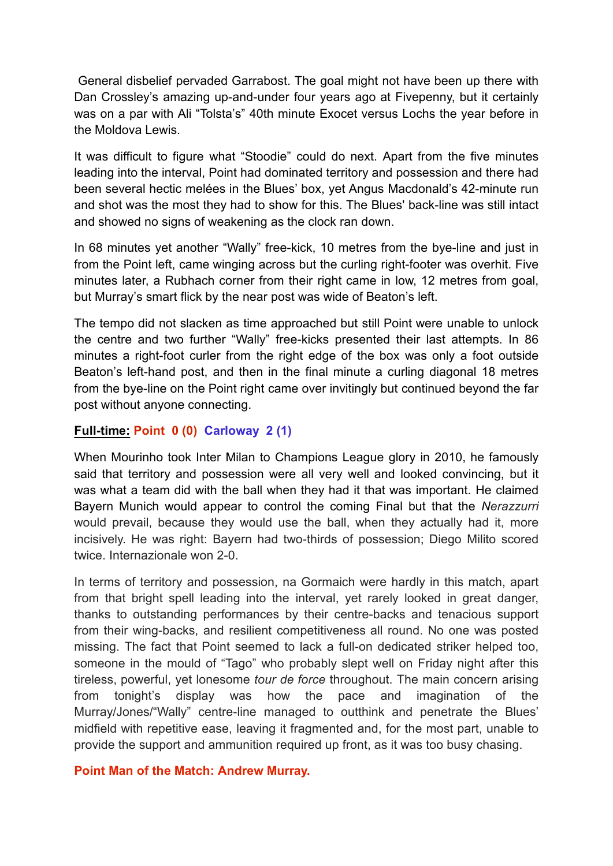General disbelief pervaded Garrabost. The goal might not have been up there with Dan Crossley's amazing up-and-under four years ago at Fivepenny, but it certainly was on a par with Ali "Tolsta's" 40th minute Exocet versus Lochs the year before in the Moldova Lewis.

It was difficult to figure what "Stoodie" could do next. Apart from the five minutes leading into the interval, Point had dominated territory and possession and there had been several hectic melées in the Blues' box, yet Angus Macdonald's 42-minute run and shot was the most they had to show for this. The Blues' back-line was still intact and showed no signs of weakening as the clock ran down.

In 68 minutes yet another "Wally" free-kick, 10 metres from the bye-line and just in from the Point left, came winging across but the curling right-footer was overhit. Five minutes later, a Rubhach corner from their right came in low, 12 metres from goal, but Murray's smart flick by the near post was wide of Beaton's left.

The tempo did not slacken as time approached but still Point were unable to unlock the centre and two further "Wally" free-kicks presented their last attempts. In 86 minutes a right-foot curler from the right edge of the box was only a foot outside Beaton's left-hand post, and then in the final minute a curling diagonal 18 metres from the bye-line on the Point right came over invitingly but continued beyond the far post without anyone connecting.

## **Full-time: Point 0 (0) Carloway 2 (1)**

When Mourinho took Inter Milan to [Champions](https://en.wikipedia.org/wiki/2009%E2%80%9310_UEFA_Champions_League) [League](https://en.wikipedia.org/wiki/2009%E2%80%9310_UEFA_Champions_League) glory in 2010, he famously said that territory and possession were all very well and looked convincing, but it was what a team did with the ball when they had it that was important. He claimed Bayern Munich would appear to control the coming Final but that the *Nerazzurri* would prevail, because they would use the ball, when they actually had it, more incisively. He was right: Bayern had two-thirds of possession; Diego Milito scored twice. Internazionale won 2-0.

In terms of territory and possession, na Gormaich were hardly in this match, apart from that bright spell leading into the interval, yet rarely looked in great danger, thanks to outstanding performances by their centre-backs and tenacious support from their wing-backs, and resilient competitiveness all round. No one was posted missing. The fact that Point seemed to lack a full-on dedicated striker helped too, someone in the mould of "Tago" who probably slept well on Friday night after this tireless, powerful, yet lonesome *tour de force* throughout. The main concern arising from tonight's display was how the pace and imagination of the Murray/Jones/"Wally" centre-line managed to outthink and penetrate the Blues' midfield with repetitive ease, leaving it fragmented and, for the most part, unable to provide the support and ammunition required up front, as it was too busy chasing.

## **Point Man of the Match: Andrew Murray.**